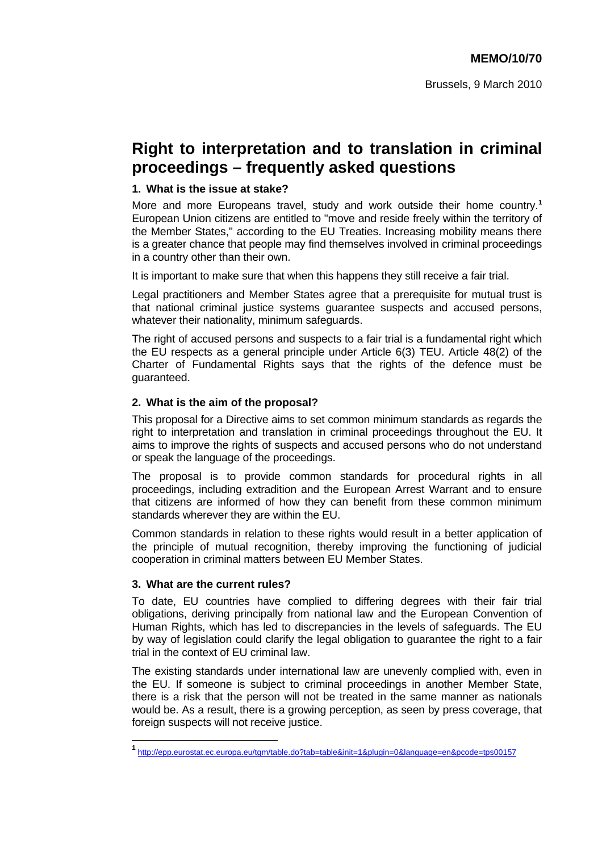# **Right to interpretation and to translation in criminal proceedings – frequently asked questions**

## **1. What is the issue at stake?**

More and more Europeans travel, study and work outside their home country.**<sup>1</sup>** European Union citizens are entitled to "move and reside freely within the territory of the Member States," according to the EU Treaties. Increasing mobility means there is a greater chance that people may find themselves involved in criminal proceedings in a country other than their own.

It is important to make sure that when this happens they still receive a fair trial.

Legal practitioners and Member States agree that a prerequisite for mutual trust is that national criminal justice systems guarantee suspects and accused persons, whatever their nationality, minimum safeguards.

The right of accused persons and suspects to a fair trial is a fundamental right which the EU respects as a general principle under Article 6(3) TEU. Article 48(2) of the Charter of Fundamental Rights says that the rights of the defence must be guaranteed.

## **2. What is the aim of the proposal?**

This proposal for a Directive aims to set common minimum standards as regards the right to interpretation and translation in criminal proceedings throughout the EU. It aims to improve the rights of suspects and accused persons who do not understand or speak the language of the proceedings.

The proposal is to provide common standards for procedural rights in all proceedings, including extradition and the European Arrest Warrant and to ensure that citizens are informed of how they can benefit from these common minimum standards wherever they are within the EU.

Common standards in relation to these rights would result in a better application of the principle of mutual recognition, thereby improving the functioning of judicial cooperation in criminal matters between EU Member States.

#### **3. What are the current rules?**

To date, EU countries have complied to differing degrees with their fair trial obligations, deriving principally from national law and the European Convention of Human Rights, which has led to discrepancies in the levels of safeguards. The EU by way of legislation could clarify the legal obligation to guarantee the right to a fair trial in the context of EU criminal law.

The existing standards under international law are unevenly complied with, even in the EU. If someone is subject to criminal proceedings in another Member State, there is a risk that the person will not be treated in the same manner as nationals would be. As a result, there is a growing perception, as seen by press coverage, that foreign suspects will not receive justice.

**<sup>1</sup>** <http://epp.eurostat.ec.europa.eu/tgm/table.do?tab=table&init=1&plugin=0&language=en&pcode=tps00157>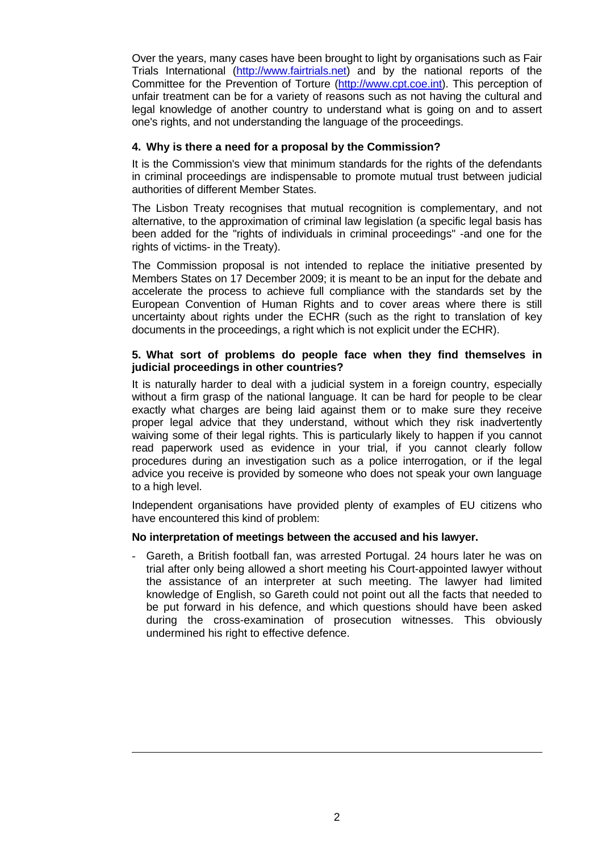Over the years, many cases have been brought to light by organisations such as Fair Trials International [\(http://www.fairtrials.net\)](http://www.fairtrials.net/) and by the national reports of the Committee for the Prevention of Torture [\(http://www.cpt.coe.int\).](http://www.cpt.coe.int/) This perception of unfair treatment can be for a variety of reasons such as not having the cultural and legal knowledge of another country to understand what is going on and to assert one's rights, and not understanding the language of the proceedings.

## **4. Why is there a need for a proposal by the Commission?**

It is the Commission's view that minimum standards for the rights of the defendants in criminal proceedings are indispensable to promote mutual trust between judicial authorities of different Member States.

The Lisbon Treaty recognises that mutual recognition is complementary, and not alternative, to the approximation of criminal law legislation (a specific legal basis has been added for the "rights of individuals in criminal proceedings" -and one for the rights of victims- in the Treaty).

The Commission proposal is not intended to replace the initiative presented by Members States on 17 December 2009; it is meant to be an input for the debate and accelerate the process to achieve full compliance with the standards set by the European Convention of Human Rights and to cover areas where there is still uncertainty about rights under the ECHR (such as the right to translation of key documents in the proceedings, a right which is not explicit under the ECHR).

## **5. What sort of problems do people face when they find themselves in judicial proceedings in other countries?**

It is naturally harder to deal with a judicial system in a foreign country, especially without a firm grasp of the national language. It can be hard for people to be clear exactly what charges are being laid against them or to make sure they receive proper legal advice that they understand, without which they risk inadvertently waiving some of their legal rights. This is particularly likely to happen if you cannot read paperwork used as evidence in your trial, if you cannot clearly follow procedures during an investigation such as a police interrogation, or if the legal advice you receive is provided by someone who does not speak your own language to a high level.

Independent organisations have provided plenty of examples of EU citizens who have encountered this kind of problem:

## **No interpretation of meetings between the accused and his lawyer.**

 $\overline{a}$ 

- Gareth, a British football fan, was arrested Portugal. 24 hours later he was on trial after only being allowed a short meeting his Court-appointed lawyer without the assistance of an interpreter at such meeting. The lawyer had limited knowledge of English, so Gareth could not point out all the facts that needed to be put forward in his defence, and which questions should have been asked during the cross-examination of prosecution witnesses. This obviously undermined his right to effective defence.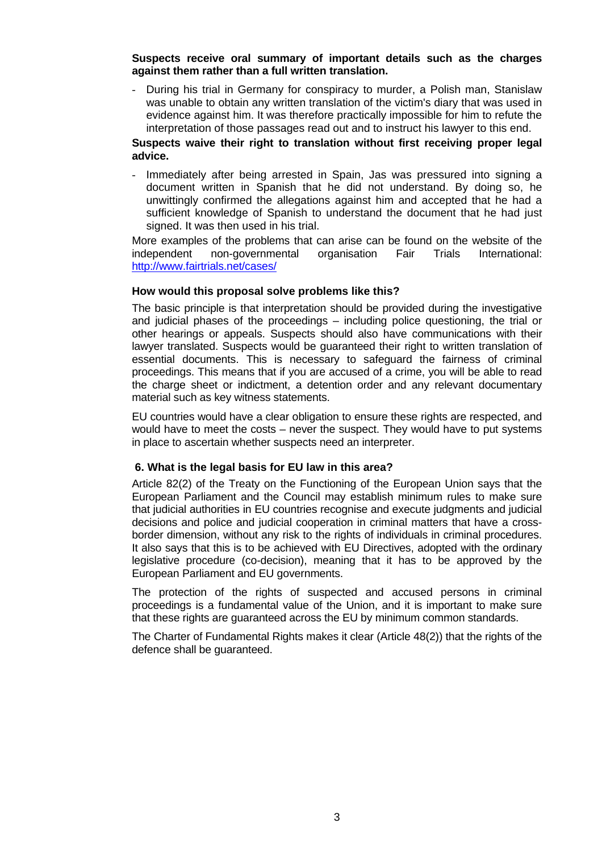**Suspects receive oral summary of important details such as the charges against them rather than a full written translation.** 

During his trial in Germany for conspiracy to murder, a Polish man, Stanislaw was unable to obtain any written translation of the victim's diary that was used in evidence against him. It was therefore practically impossible for him to refute the interpretation of those passages read out and to instruct his lawyer to this end.

## **Suspects waive their right to translation without first receiving proper legal advice.**

- Immediately after being arrested in Spain, Jas was pressured into signing a document written in Spanish that he did not understand. By doing so, he unwittingly confirmed the allegations against him and accepted that he had a sufficient knowledge of Spanish to understand the document that he had just signed. It was then used in his trial.

More examples of the problems that can arise can be found on the website of the independent non-governmental organisation Fair Trials International: <http://www.fairtrials.net/cases/>

## **How would this proposal solve problems like this?**

The basic principle is that interpretation should be provided during the investigative and judicial phases of the proceedings – including police questioning, the trial or other hearings or appeals. Suspects should also have communications with their lawyer translated. Suspects would be guaranteed their right to written translation of essential documents. This is necessary to safeguard the fairness of criminal proceedings. This means that if you are accused of a crime, you will be able to read the charge sheet or indictment, a detention order and any relevant documentary material such as key witness statements.

EU countries would have a clear obligation to ensure these rights are respected, and would have to meet the costs – never the suspect. They would have to put systems in place to ascertain whether suspects need an interpreter.

## **6. What is the legal basis for EU law in this area?**

Article 82(2) of the Treaty on the Functioning of the European Union says that the European Parliament and the Council may establish minimum rules to make sure that judicial authorities in EU countries recognise and execute judgments and judicial decisions and police and judicial cooperation in criminal matters that have a crossborder dimension, without any risk to the rights of individuals in criminal procedures. It also says that this is to be achieved with EU Directives, adopted with the ordinary legislative procedure (co-decision), meaning that it has to be approved by the European Parliament and EU governments.

The protection of the rights of suspected and accused persons in criminal proceedings is a fundamental value of the Union, and it is important to make sure that these rights are guaranteed across the EU by minimum common standards.

The Charter of Fundamental Rights makes it clear (Article 48(2)) that the rights of the defence shall be guaranteed.